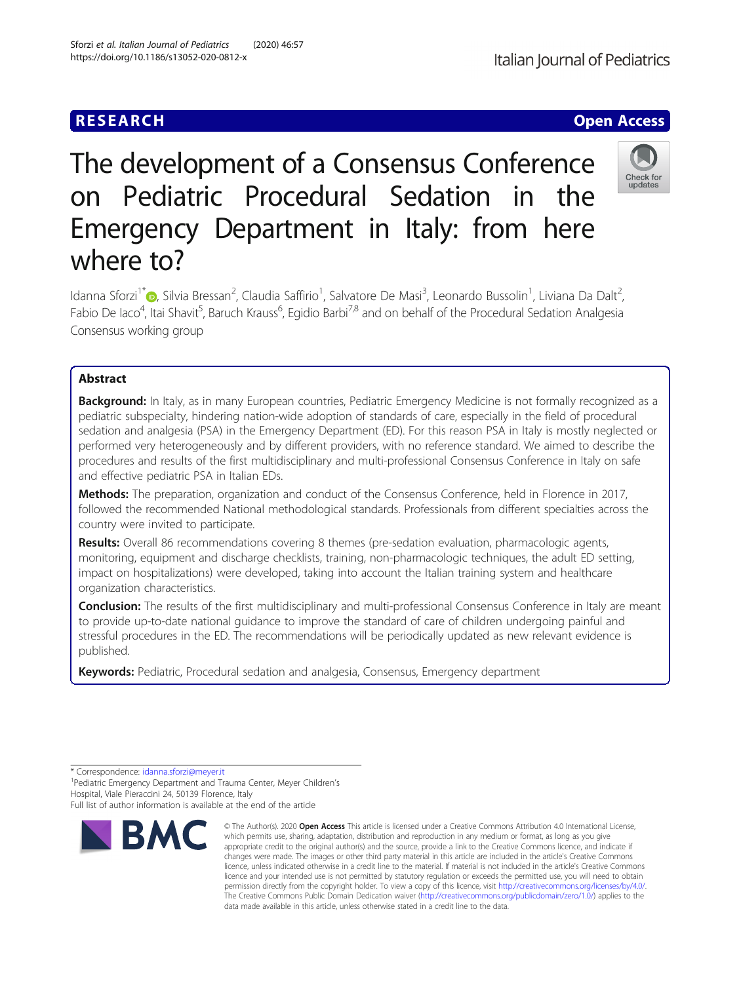## **RESEARCH CHE Open Access**

# The development of a Consensus Conference on Pediatric Procedural Sedation in the Emergency Department in Italy: from here where to?

Idanna Sforzi<sup>1[\\*](http://orcid.org/0000-0002-3445-8963)</sup>®, Silvia Bressan<sup>2</sup>, Claudia Saffirio<sup>1</sup>, Salvatore De Masi<sup>3</sup>, Leonardo Bussolin<sup>1</sup>, Liviana Da Dalt<sup>2</sup> , Fabio De Iaco<sup>4</sup>, Itai Shavit<sup>5</sup>, Baruch Krauss<sup>6</sup>, Egidio Barbi<sup>7,8</sup> and on behalf of the Procedural Sedation Analgesia Consensus working group

## Abstract

Background: In Italy, as in many European countries, Pediatric Emergency Medicine is not formally recognized as a pediatric subspecialty, hindering nation-wide adoption of standards of care, especially in the field of procedural sedation and analgesia (PSA) in the Emergency Department (ED). For this reason PSA in Italy is mostly neglected or performed very heterogeneously and by different providers, with no reference standard. We aimed to describe the procedures and results of the first multidisciplinary and multi-professional Consensus Conference in Italy on safe and effective pediatric PSA in Italian EDs.

Methods: The preparation, organization and conduct of the Consensus Conference, held in Florence in 2017, followed the recommended National methodological standards. Professionals from different specialties across the country were invited to participate.

Results: Overall 86 recommendations covering 8 themes (pre-sedation evaluation, pharmacologic agents, monitoring, equipment and discharge checklists, training, non-pharmacologic techniques, the adult ED setting, impact on hospitalizations) were developed, taking into account the Italian training system and healthcare organization characteristics.

**Conclusion:** The results of the first multidisciplinary and multi-professional Consensus Conference in Italy are meant to provide up-to-date national guidance to improve the standard of care of children undergoing painful and stressful procedures in the ED. The recommendations will be periodically updated as new relevant evidence is published.

Keywords: Pediatric, Procedural sedation and analgesia, Consensus, Emergency department

\* Correspondence: [idanna.sforzi@meyer.it](mailto:idanna.sforzi@meyer.it) <sup>1</sup>

<sup>1</sup> Pediatric Emergency Department and Trauma Center, Meyer Children's Hospital, Viale Pieraccini 24, 50139 Florence, Italy

Full list of author information is available at the end of the article



© The Author(s), 2020 **Open Access** This article is licensed under a Creative Commons Attribution 4.0 International License,

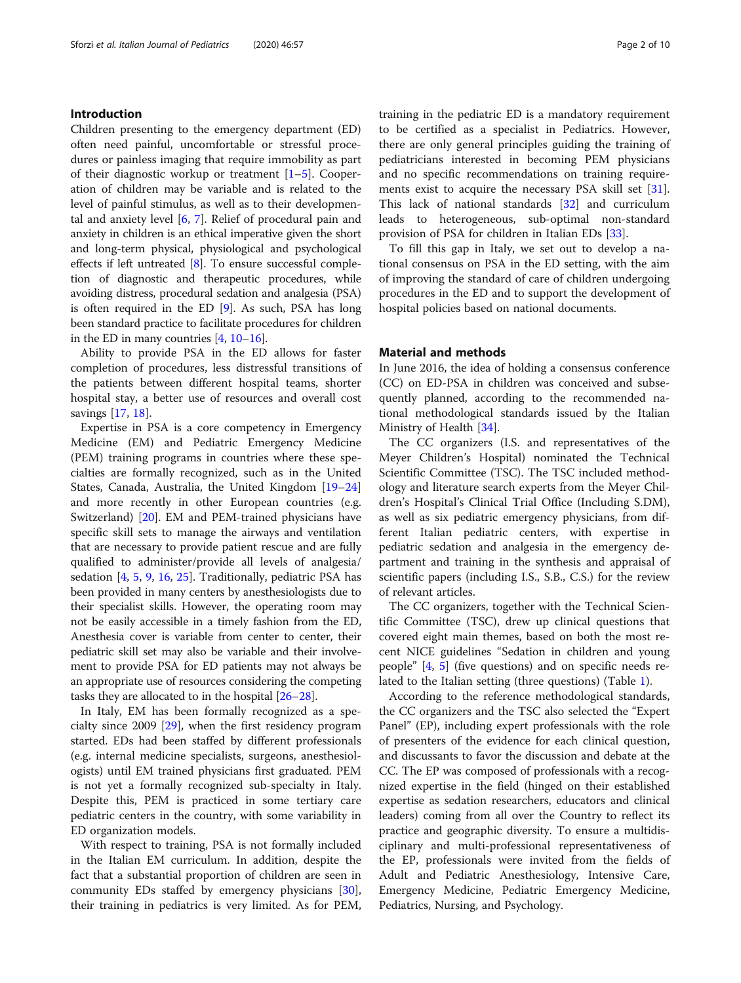#### Introduction

Children presenting to the emergency department (ED) often need painful, uncomfortable or stressful procedures or painless imaging that require immobility as part of their diagnostic workup or treatment [[1](#page-7-0)–[5\]](#page-8-0). Cooperation of children may be variable and is related to the level of painful stimulus, as well as to their developmental and anxiety level [[6,](#page-8-0) [7](#page-8-0)]. Relief of procedural pain and anxiety in children is an ethical imperative given the short and long-term physical, physiological and psychological effects if left untreated [[8](#page-8-0)]. To ensure successful completion of diagnostic and therapeutic procedures, while avoiding distress, procedural sedation and analgesia (PSA) is often required in the ED [[9](#page-8-0)]. As such, PSA has long been standard practice to facilitate procedures for children in the ED in many countries [\[4](#page-8-0), [10](#page-8-0)–[16](#page-8-0)].

Ability to provide PSA in the ED allows for faster completion of procedures, less distressful transitions of the patients between different hospital teams, shorter hospital stay, a better use of resources and overall cost savings [[17,](#page-8-0) [18\]](#page-8-0).

Expertise in PSA is a core competency in Emergency Medicine (EM) and Pediatric Emergency Medicine (PEM) training programs in countries where these specialties are formally recognized, such as in the United States, Canada, Australia, the United Kingdom [[19](#page-8-0)–[24](#page-8-0)] and more recently in other European countries (e.g. Switzerland) [\[20](#page-8-0)]. EM and PEM-trained physicians have specific skill sets to manage the airways and ventilation that are necessary to provide patient rescue and are fully qualified to administer/provide all levels of analgesia/ sedation [[4,](#page-8-0) [5,](#page-8-0) [9,](#page-8-0) [16,](#page-8-0) [25\]](#page-8-0). Traditionally, pediatric PSA has been provided in many centers by anesthesiologists due to their specialist skills. However, the operating room may not be easily accessible in a timely fashion from the ED, Anesthesia cover is variable from center to center, their pediatric skill set may also be variable and their involvement to provide PSA for ED patients may not always be an appropriate use of resources considering the competing tasks they are allocated to in the hospital [\[26](#page-8-0)–[28](#page-8-0)].

In Italy, EM has been formally recognized as a specialty since 2009 [[29](#page-8-0)], when the first residency program started. EDs had been staffed by different professionals (e.g. internal medicine specialists, surgeons, anesthesiologists) until EM trained physicians first graduated. PEM is not yet a formally recognized sub-specialty in Italy. Despite this, PEM is practiced in some tertiary care pediatric centers in the country, with some variability in ED organization models.

With respect to training, PSA is not formally included in the Italian EM curriculum. In addition, despite the fact that a substantial proportion of children are seen in community EDs staffed by emergency physicians [\[30](#page-8-0)], their training in pediatrics is very limited. As for PEM, training in the pediatric ED is a mandatory requirement to be certified as a specialist in Pediatrics. However, there are only general principles guiding the training of pediatricians interested in becoming PEM physicians and no specific recommendations on training requirements exist to acquire the necessary PSA skill set [\[31](#page-8-0)]. This lack of national standards [[32\]](#page-8-0) and curriculum leads to heterogeneous, sub-optimal non-standard provision of PSA for children in Italian EDs [\[33](#page-8-0)].

To fill this gap in Italy, we set out to develop a national consensus on PSA in the ED setting, with the aim of improving the standard of care of children undergoing procedures in the ED and to support the development of hospital policies based on national documents.

#### Material and methods

In June 2016, the idea of holding a consensus conference (CC) on ED-PSA in children was conceived and subsequently planned, according to the recommended national methodological standards issued by the Italian Ministry of Health [[34\]](#page-8-0).

The CC organizers (I.S. and representatives of the Meyer Children's Hospital) nominated the Technical Scientific Committee (TSC). The TSC included methodology and literature search experts from the Meyer Children's Hospital's Clinical Trial Office (Including S.DM), as well as six pediatric emergency physicians, from different Italian pediatric centers, with expertise in pediatric sedation and analgesia in the emergency department and training in the synthesis and appraisal of scientific papers (including I.S., S.B., C.S.) for the review of relevant articles.

The CC organizers, together with the Technical Scientific Committee (TSC), drew up clinical questions that covered eight main themes, based on both the most recent NICE guidelines "Sedation in children and young people" [\[4](#page-8-0), [5](#page-8-0)] (five questions) and on specific needs related to the Italian setting (three questions) (Table [1](#page-2-0)).

According to the reference methodological standards, the CC organizers and the TSC also selected the "Expert Panel" (EP), including expert professionals with the role of presenters of the evidence for each clinical question, and discussants to favor the discussion and debate at the CC. The EP was composed of professionals with a recognized expertise in the field (hinged on their established expertise as sedation researchers, educators and clinical leaders) coming from all over the Country to reflect its practice and geographic diversity. To ensure a multidisciplinary and multi-professional representativeness of the EP, professionals were invited from the fields of Adult and Pediatric Anesthesiology, Intensive Care, Emergency Medicine, Pediatric Emergency Medicine, Pediatrics, Nursing, and Psychology.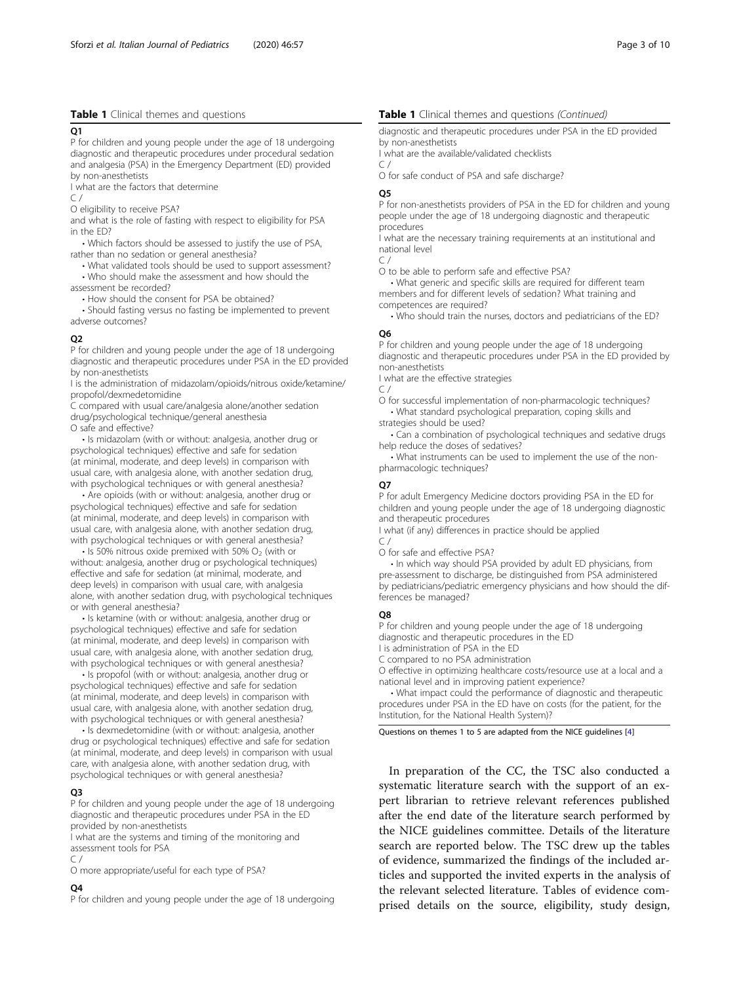#### <span id="page-2-0"></span>Table 1 Clinical themes and questions

 $O<sub>1</sub>$ 

P for children and young people under the age of 18 undergoing diagnostic and therapeutic procedures under procedural sedation and analgesia (PSA) in the Emergency Department (ED) provided by non-anesthetists

I what are the factors that determine

 $\subset$ 

O eligibility to receive PSA?

and what is the role of fasting with respect to eligibility for PSA in the ED?

• Which factors should be assessed to justify the use of PSA. rather than no sedation or general anesthesia?

• What validated tools should be used to support assessment?

• Who should make the assessment and how should the

assessment be recorded?

• How should the consent for PSA be obtained?

• Should fasting versus no fasting be implemented to prevent adverse outcomes?

#### $\Omega$

P for children and young people under the age of 18 undergoing diagnostic and therapeutic procedures under PSA in the ED provided by non-anesthetists

I is the administration of midazolam/opioids/nitrous oxide/ketamine/ propofol/dexmedetomidine

C compared with usual care/analgesia alone/another sedation drug/psychological technique/general anesthesia O safe and effective?

• Is midazolam (with or without: analgesia, another drug or psychological techniques) effective and safe for sedation (at minimal, moderate, and deep levels) in comparison with usual care, with analgesia alone, with another sedation drug, with psychological techniques or with general anesthesia?

• Are opioids (with or without: analgesia, another drug or psychological techniques) effective and safe for sedation (at minimal, moderate, and deep levels) in comparison with usual care, with analgesia alone, with another sedation drug, with psychological techniques or with general anesthesia?

 $\cdot$  Is 50% nitrous oxide premixed with 50% O<sub>2</sub> (with or without: analgesia, another drug or psychological techniques) effective and safe for sedation (at minimal, moderate, and deep levels) in comparison with usual care, with analgesia alone, with another sedation drug, with psychological techniques or with general anesthesia?

• Is ketamine (with or without: analgesia, another drug or psychological techniques) effective and safe for sedation (at minimal, moderate, and deep levels) in comparison with usual care, with analgesia alone, with another sedation drug, with psychological techniques or with general anesthesia?

• Is propofol (with or without: analgesia, another drug or psychological techniques) effective and safe for sedation (at minimal, moderate, and deep levels) in comparison with usual care, with analgesia alone, with another sedation drug, with psychological techniques or with general anesthesia?

• Is dexmedetomidine (with or without: analgesia, another drug or psychological techniques) effective and safe for sedation (at minimal, moderate, and deep levels) in comparison with usual care, with analgesia alone, with another sedation drug, with psychological techniques or with general anesthesia?

#### Q3

P for children and young people under the age of 18 undergoing diagnostic and therapeutic procedures under PSA in the ED provided by non-anesthetists

I what are the systems and timing of the monitoring and assessment tools for PSA

 $C/$ 

O more appropriate/useful for each type of PSA?

#### Q4

P for children and young people under the age of 18 undergoing

diagnostic and therapeutic procedures under PSA in the ED provided by non-anesthetists

I what are the available/validated checklists

 $\mathcal{C}$  /

O for safe conduct of PSA and safe discharge?

#### Q5

P for non-anesthetists providers of PSA in the ED for children and young people under the age of 18 undergoing diagnostic and therapeutic procedures

I what are the necessary training requirements at an institutional and national level

 $\subset$  /

O to be able to perform safe and effective PSA?

• What generic and specific skills are required for different team members and for different levels of sedation? What training and competences are required?

• Who should train the nurses, doctors and pediatricians of the ED?

#### Q6

P for children and young people under the age of 18 undergoing diagnostic and therapeutic procedures under PSA in the ED provided by non-anesthetists

I what are the effective strategies

 $C/$ 

O for successful implementation of non-pharmacologic techniques? • What standard psychological preparation, coping skills and

strategies should be used? • Can a combination of psychological techniques and sedative drugs help reduce the doses of sedatives?

• What instruments can be used to implement the use of the nonpharmacologic techniques?

#### $O<sub>7</sub>$

P for adult Emergency Medicine doctors providing PSA in the ED for children and young people under the age of 18 undergoing diagnostic and therapeutic procedures

I what (if any) differences in practice should be applied

 $\mathcal{C}$  /

O for safe and effective PSA?

• In which way should PSA provided by adult ED physicians, from pre-assessment to discharge, be distinguished from PSA administered by pediatricians/pediatric emergency physicians and how should the differences be managed?

#### Q8

P for children and young people under the age of 18 undergoing diagnostic and therapeutic procedures in the ED

I is administration of PSA in the ED

C compared to no PSA administration

O effective in optimizing healthcare costs/resource use at a local and a national level and in improving patient experience?

• What impact could the performance of diagnostic and therapeutic procedures under PSA in the ED have on costs (for the patient, for the Institution, for the National Health System)?

Questions on themes 1 to 5 are adapted from the NICE guidelines [[4](#page-8-0)]

In preparation of the CC, the TSC also conducted a systematic literature search with the support of an expert librarian to retrieve relevant references published after the end date of the literature search performed by the NICE guidelines committee. Details of the literature search are reported below. The TSC drew up the tables of evidence, summarized the findings of the included articles and supported the invited experts in the analysis of the relevant selected literature. Tables of evidence comprised details on the source, eligibility, study design,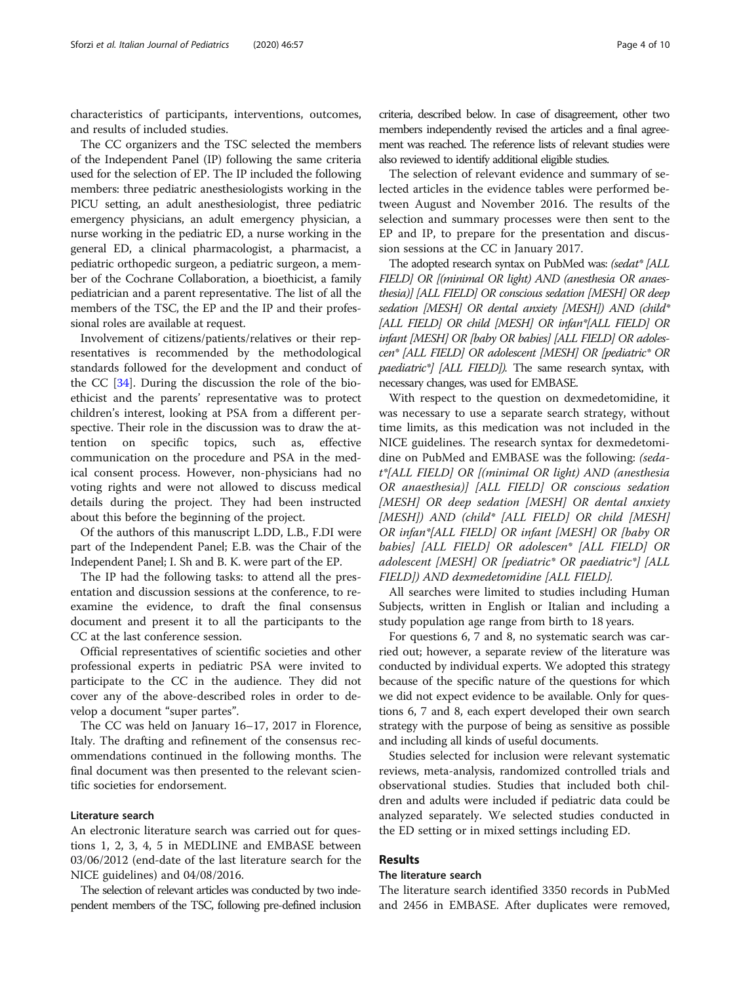characteristics of participants, interventions, outcomes, and results of included studies.

The CC organizers and the TSC selected the members of the Independent Panel (IP) following the same criteria used for the selection of EP. The IP included the following members: three pediatric anesthesiologists working in the PICU setting, an adult anesthesiologist, three pediatric emergency physicians, an adult emergency physician, a nurse working in the pediatric ED, a nurse working in the general ED, a clinical pharmacologist, a pharmacist, a pediatric orthopedic surgeon, a pediatric surgeon, a member of the Cochrane Collaboration, a bioethicist, a family pediatrician and a parent representative. The list of all the members of the TSC, the EP and the IP and their professional roles are available at request.

Involvement of citizens/patients/relatives or their representatives is recommended by the methodological standards followed for the development and conduct of the CC [[34\]](#page-8-0). During the discussion the role of the bioethicist and the parents' representative was to protect children's interest, looking at PSA from a different perspective. Their role in the discussion was to draw the attention on specific topics, such as, effective communication on the procedure and PSA in the medical consent process. However, non-physicians had no voting rights and were not allowed to discuss medical details during the project. They had been instructed about this before the beginning of the project.

Of the authors of this manuscript L.DD, L.B., F.DI were part of the Independent Panel; E.B. was the Chair of the Independent Panel; I. Sh and B. K. were part of the EP.

The IP had the following tasks: to attend all the presentation and discussion sessions at the conference, to reexamine the evidence, to draft the final consensus document and present it to all the participants to the CC at the last conference session.

Official representatives of scientific societies and other professional experts in pediatric PSA were invited to participate to the CC in the audience. They did not cover any of the above-described roles in order to develop a document "super partes".

The CC was held on January 16–17, 2017 in Florence, Italy. The drafting and refinement of the consensus recommendations continued in the following months. The final document was then presented to the relevant scientific societies for endorsement.

#### Literature search

An electronic literature search was carried out for questions 1, 2, 3, 4, 5 in MEDLINE and EMBASE between 03/06/2012 (end-date of the last literature search for the NICE guidelines) and 04/08/2016.

The selection of relevant articles was conducted by two independent members of the TSC, following pre-defined inclusion

criteria, described below. In case of disagreement, other two members independently revised the articles and a final agreement was reached. The reference lists of relevant studies were also reviewed to identify additional eligible studies.

The selection of relevant evidence and summary of selected articles in the evidence tables were performed between August and November 2016. The results of the selection and summary processes were then sent to the EP and IP, to prepare for the presentation and discussion sessions at the CC in January 2017.

The adopted research syntax on PubMed was: (sedat\* [ALL FIELD] OR [(minimal OR light) AND (anesthesia OR anaesthesia)] [ALL FIELD] OR conscious sedation [MESH] OR deep sedation [MESH] OR dental anxiety [MESH]) AND (child\* [ALL FIELD] OR child [MESH] OR infan\*[ALL FIELD] OR infant [MESH] OR [baby OR babies] [ALL FIELD] OR adolescen\* [ALL FIELD] OR adolescent [MESH] OR [pediatric\* OR paediatric\*] [ALL FIELD]). The same research syntax, with necessary changes, was used for EMBASE.

With respect to the question on dexmedetomidine, it was necessary to use a separate search strategy, without time limits, as this medication was not included in the NICE guidelines. The research syntax for dexmedetomidine on PubMed and EMBASE was the following: (sedat\*[ALL FIELD] OR [(minimal OR light) AND (anesthesia OR anaesthesia)] [ALL FIELD] OR conscious sedation [MESH] OR deep sedation [MESH] OR dental anxiety [MESH]) AND (child\* [ALL FIELD] OR child [MESH] OR infan\*[ALL FIELD] OR infant [MESH] OR [baby OR babies] [ALL FIELD] OR adolescen\* [ALL FIELD] OR adolescent [MESH] OR [pediatric\* OR paediatric\*] [ALL FIELD]) AND dexmedetomidine [ALL FIELD].

All searches were limited to studies including Human Subjects, written in English or Italian and including a study population age range from birth to 18 years.

For questions 6, 7 and 8, no systematic search was carried out; however, a separate review of the literature was conducted by individual experts. We adopted this strategy because of the specific nature of the questions for which we did not expect evidence to be available. Only for questions 6, 7 and 8, each expert developed their own search strategy with the purpose of being as sensitive as possible and including all kinds of useful documents.

Studies selected for inclusion were relevant systematic reviews, meta-analysis, randomized controlled trials and observational studies. Studies that included both children and adults were included if pediatric data could be analyzed separately. We selected studies conducted in the ED setting or in mixed settings including ED.

#### Results

#### The literature search

The literature search identified 3350 records in PubMed and 2456 in EMBASE. After duplicates were removed,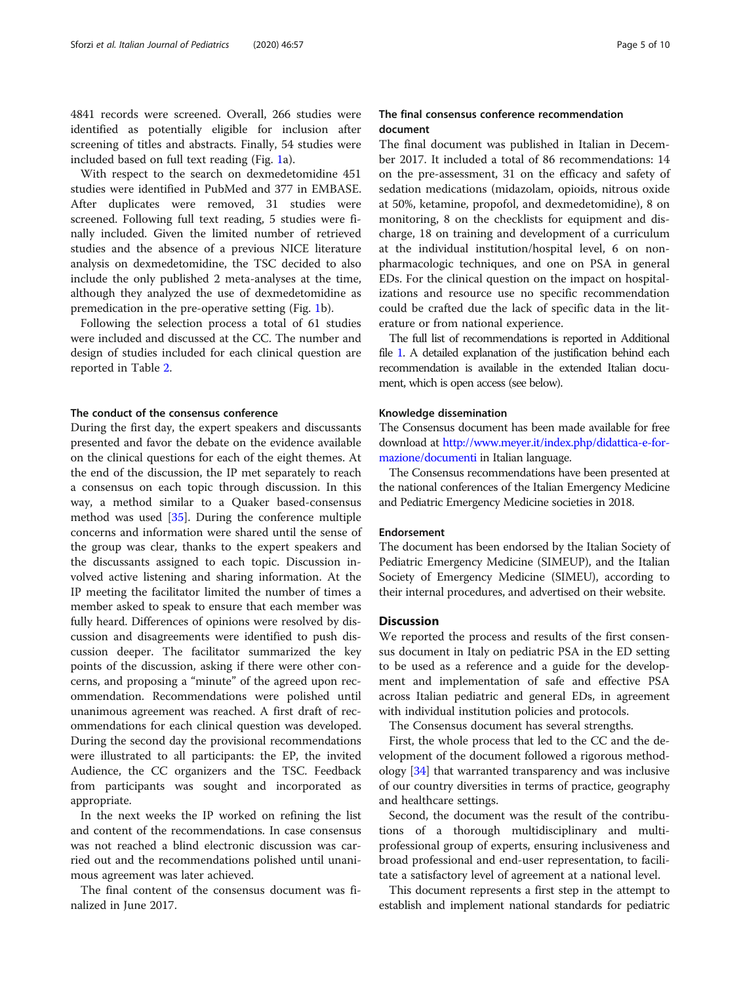4841 records were screened. Overall, 266 studies were identified as potentially eligible for inclusion after screening of titles and abstracts. Finally, 54 studies were included based on full text reading (Fig. [1a](#page-5-0)).

With respect to the search on dexmedetomidine 451 studies were identified in PubMed and 377 in EMBASE. After duplicates were removed, 31 studies were screened. Following full text reading, 5 studies were finally included. Given the limited number of retrieved studies and the absence of a previous NICE literature analysis on dexmedetomidine, the TSC decided to also include the only published 2 meta-analyses at the time, although they analyzed the use of dexmedetomidine as premedication in the pre-operative setting (Fig. [1](#page-5-0)b).

Following the selection process a total of 61 studies were included and discussed at the CC. The number and design of studies included for each clinical question are reported in Table [2](#page-5-0).

#### The conduct of the consensus conference

During the first day, the expert speakers and discussants presented and favor the debate on the evidence available on the clinical questions for each of the eight themes. At the end of the discussion, the IP met separately to reach a consensus on each topic through discussion. In this way, a method similar to a Quaker based-consensus method was used [[35\]](#page-8-0). During the conference multiple concerns and information were shared until the sense of the group was clear, thanks to the expert speakers and the discussants assigned to each topic. Discussion involved active listening and sharing information. At the IP meeting the facilitator limited the number of times a member asked to speak to ensure that each member was fully heard. Differences of opinions were resolved by discussion and disagreements were identified to push discussion deeper. The facilitator summarized the key points of the discussion, asking if there were other concerns, and proposing a "minute" of the agreed upon recommendation. Recommendations were polished until unanimous agreement was reached. A first draft of recommendations for each clinical question was developed. During the second day the provisional recommendations were illustrated to all participants: the EP, the invited Audience, the CC organizers and the TSC. Feedback from participants was sought and incorporated as appropriate.

In the next weeks the IP worked on refining the list and content of the recommendations. In case consensus was not reached a blind electronic discussion was carried out and the recommendations polished until unanimous agreement was later achieved.

The final content of the consensus document was finalized in June 2017.

#### The final consensus conference recommendation document

The final document was published in Italian in December 2017. It included a total of 86 recommendations: 14 on the pre-assessment, 31 on the efficacy and safety of sedation medications (midazolam, opioids, nitrous oxide at 50%, ketamine, propofol, and dexmedetomidine), 8 on monitoring, 8 on the checklists for equipment and discharge, 18 on training and development of a curriculum at the individual institution/hospital level, 6 on nonpharmacologic techniques, and one on PSA in general EDs. For the clinical question on the impact on hospitalizations and resource use no specific recommendation could be crafted due the lack of specific data in the literature or from national experience.

The full list of recommendations is reported in Additional file [1.](#page-7-0) A detailed explanation of the justification behind each recommendation is available in the extended Italian document, which is open access (see below).

#### Knowledge dissemination

The Consensus document has been made available for free download at [http://www.meyer.it/index.php/didattica-e-for](http://www.meyer.it/index.php/didattica-e-formazione/documenti)[mazione/documenti](http://www.meyer.it/index.php/didattica-e-formazione/documenti) in Italian language.

The Consensus recommendations have been presented at the national conferences of the Italian Emergency Medicine and Pediatric Emergency Medicine societies in 2018.

#### Endorsement

The document has been endorsed by the Italian Society of Pediatric Emergency Medicine (SIMEUP), and the Italian Society of Emergency Medicine (SIMEU), according to their internal procedures, and advertised on their website.

#### **Discussion**

We reported the process and results of the first consensus document in Italy on pediatric PSA in the ED setting to be used as a reference and a guide for the development and implementation of safe and effective PSA across Italian pediatric and general EDs, in agreement with individual institution policies and protocols.

The Consensus document has several strengths.

First, the whole process that led to the CC and the development of the document followed a rigorous methodology [[34\]](#page-8-0) that warranted transparency and was inclusive of our country diversities in terms of practice, geography and healthcare settings.

Second, the document was the result of the contributions of a thorough multidisciplinary and multiprofessional group of experts, ensuring inclusiveness and broad professional and end-user representation, to facilitate a satisfactory level of agreement at a national level.

This document represents a first step in the attempt to establish and implement national standards for pediatric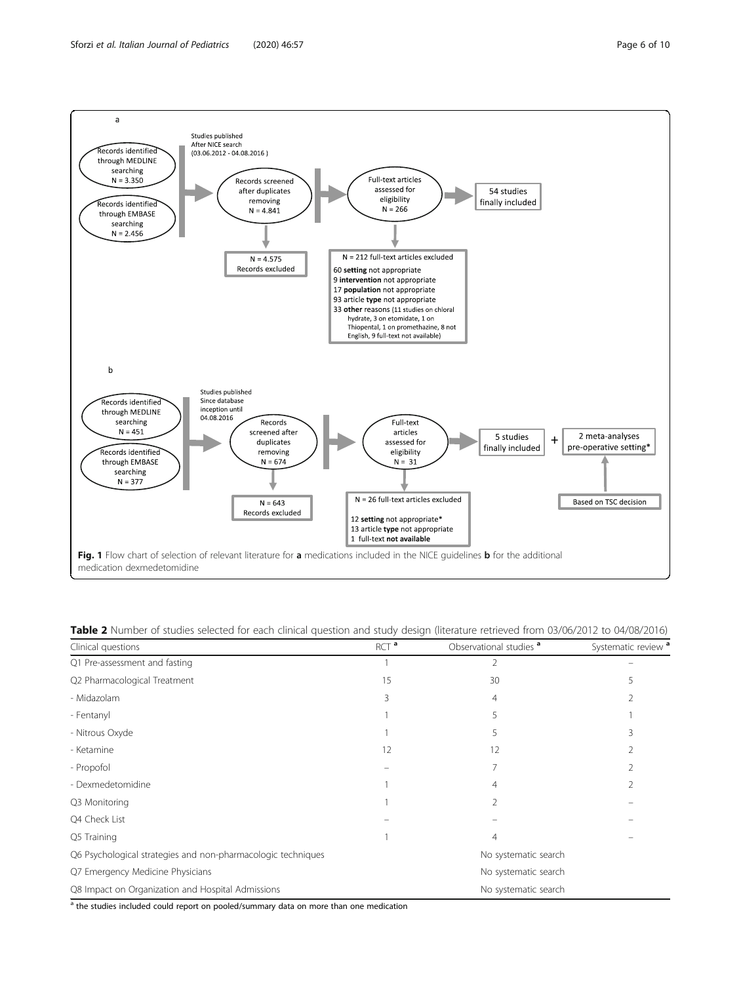<span id="page-5-0"></span>

| Clinical questions                                           | RCT <sup>a</sup>     | Observational studies <sup>a</sup> | Systematic review <sup>a</sup> |
|--------------------------------------------------------------|----------------------|------------------------------------|--------------------------------|
| Q1 Pre-assessment and fasting                                |                      | 2                                  |                                |
| Q2 Pharmacological Treatment                                 | 15                   | 30                                 |                                |
| - Midazolam                                                  | ζ                    | $\overline{4}$                     |                                |
| - Fentanyl                                                   |                      | 5                                  |                                |
| - Nitrous Oxyde                                              |                      |                                    |                                |
| - Ketamine                                                   | 12                   | 12                                 | 2                              |
| - Propofol                                                   |                      |                                    | 2                              |
| - Dexmedetomidine                                            |                      | 4                                  | 2                              |
| Q3 Monitoring                                                |                      |                                    |                                |
| Q4 Check List                                                |                      |                                    |                                |
| Q5 Training                                                  |                      | 4                                  |                                |
| Q6 Psychological strategies and non-pharmacologic techniques | No systematic search |                                    |                                |
| Q7 Emergency Medicine Physicians                             | No systematic search |                                    |                                |
| Q8 Impact on Organization and Hospital Admissions            |                      | No systematic search               |                                |

<sup>a</sup> the studies included could report on pooled/summary data on more than one medication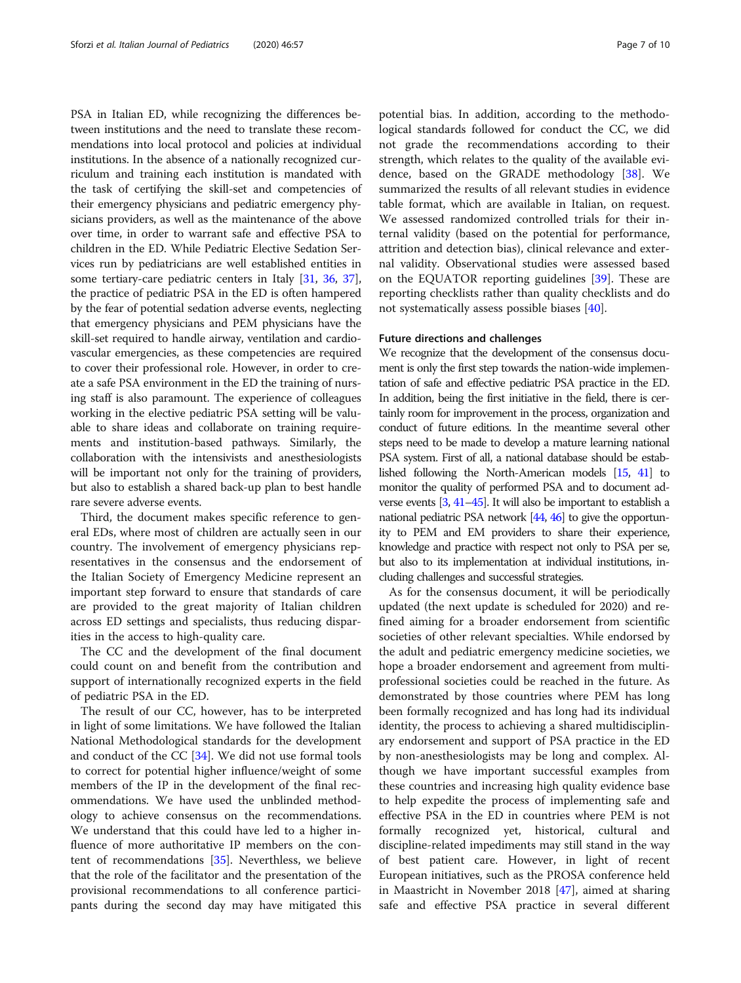PSA in Italian ED, while recognizing the differences between institutions and the need to translate these recommendations into local protocol and policies at individual institutions. In the absence of a nationally recognized curriculum and training each institution is mandated with the task of certifying the skill-set and competencies of their emergency physicians and pediatric emergency physicians providers, as well as the maintenance of the above over time, in order to warrant safe and effective PSA to children in the ED. While Pediatric Elective Sedation Services run by pediatricians are well established entities in some tertiary-care pediatric centers in Italy [[31](#page-8-0), [36](#page-8-0), [37](#page-8-0)], the practice of pediatric PSA in the ED is often hampered by the fear of potential sedation adverse events, neglecting that emergency physicians and PEM physicians have the skill-set required to handle airway, ventilation and cardiovascular emergencies, as these competencies are required to cover their professional role. However, in order to create a safe PSA environment in the ED the training of nursing staff is also paramount. The experience of colleagues working in the elective pediatric PSA setting will be valuable to share ideas and collaborate on training requirements and institution-based pathways. Similarly, the collaboration with the intensivists and anesthesiologists will be important not only for the training of providers, but also to establish a shared back-up plan to best handle rare severe adverse events.

Third, the document makes specific reference to general EDs, where most of children are actually seen in our country. The involvement of emergency physicians representatives in the consensus and the endorsement of the Italian Society of Emergency Medicine represent an important step forward to ensure that standards of care are provided to the great majority of Italian children across ED settings and specialists, thus reducing disparities in the access to high-quality care.

The CC and the development of the final document could count on and benefit from the contribution and support of internationally recognized experts in the field of pediatric PSA in the ED.

The result of our CC, however, has to be interpreted in light of some limitations. We have followed the Italian National Methodological standards for the development and conduct of the CC [[34\]](#page-8-0). We did not use formal tools to correct for potential higher influence/weight of some members of the IP in the development of the final recommendations. We have used the unblinded methodology to achieve consensus on the recommendations. We understand that this could have led to a higher influence of more authoritative IP members on the content of recommendations [\[35\]](#page-8-0). Neverthless, we believe that the role of the facilitator and the presentation of the provisional recommendations to all conference participants during the second day may have mitigated this

potential bias. In addition, according to the methodological standards followed for conduct the CC, we did not grade the recommendations according to their strength, which relates to the quality of the available evidence, based on the GRADE methodology [\[38\]](#page-8-0). We summarized the results of all relevant studies in evidence table format, which are available in Italian, on request. We assessed randomized controlled trials for their internal validity (based on the potential for performance, attrition and detection bias), clinical relevance and external validity. Observational studies were assessed based on the EQUATOR reporting guidelines [\[39](#page-8-0)]. These are reporting checklists rather than quality checklists and do not systematically assess possible biases [[40\]](#page-8-0).

#### Future directions and challenges

We recognize that the development of the consensus document is only the first step towards the nation-wide implementation of safe and effective pediatric PSA practice in the ED. In addition, being the first initiative in the field, there is certainly room for improvement in the process, organization and conduct of future editions. In the meantime several other steps need to be made to develop a mature learning national PSA system. First of all, a national database should be established following the North-American models [\[15](#page-8-0), [41\]](#page-8-0) to monitor the quality of performed PSA and to document adverse events [[3](#page-7-0), [41](#page-8-0)–[45](#page-9-0)]. It will also be important to establish a national pediatric PSA network [\[44,](#page-9-0) [46\]](#page-9-0) to give the opportunity to PEM and EM providers to share their experience, knowledge and practice with respect not only to PSA per se, but also to its implementation at individual institutions, including challenges and successful strategies.

As for the consensus document, it will be periodically updated (the next update is scheduled for 2020) and refined aiming for a broader endorsement from scientific societies of other relevant specialties. While endorsed by the adult and pediatric emergency medicine societies, we hope a broader endorsement and agreement from multiprofessional societies could be reached in the future. As demonstrated by those countries where PEM has long been formally recognized and has long had its individual identity, the process to achieving a shared multidisciplinary endorsement and support of PSA practice in the ED by non-anesthesiologists may be long and complex. Although we have important successful examples from these countries and increasing high quality evidence base to help expedite the process of implementing safe and effective PSA in the ED in countries where PEM is not formally recognized yet, historical, cultural and discipline-related impediments may still stand in the way of best patient care. However, in light of recent European initiatives, such as the PROSA conference held in Maastricht in November 2018 [[47](#page-9-0)], aimed at sharing safe and effective PSA practice in several different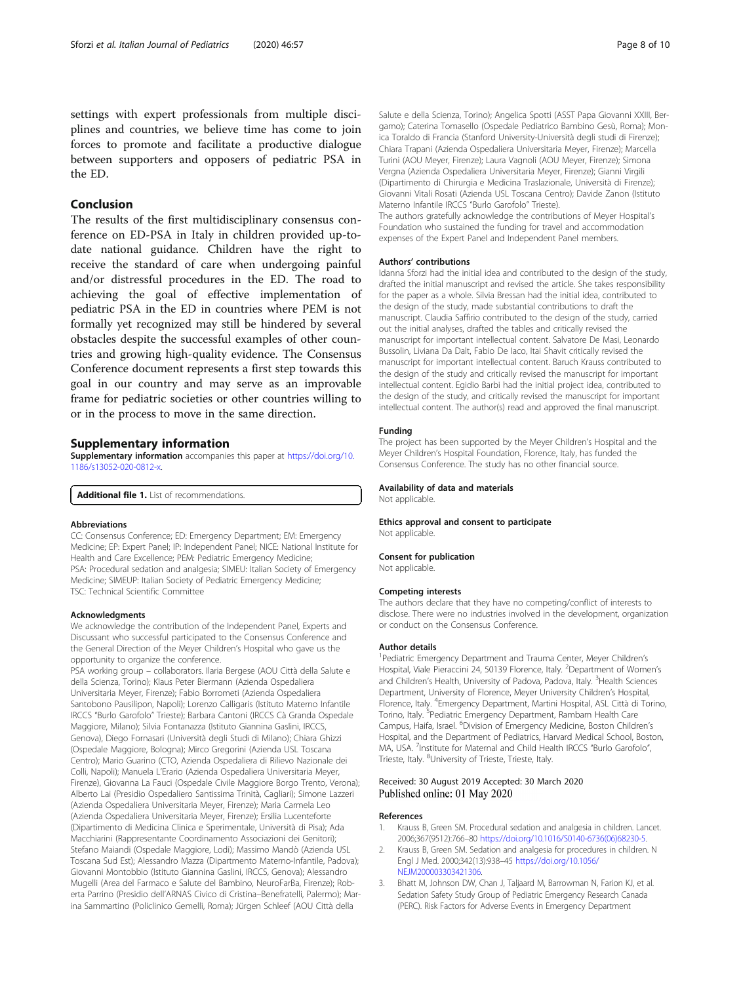<span id="page-7-0"></span>settings with expert professionals from multiple disciplines and countries, we believe time has come to join forces to promote and facilitate a productive dialogue between supporters and opposers of pediatric PSA in the ED.

### Conclusion

The results of the first multidisciplinary consensus conference on ED-PSA in Italy in children provided up-todate national guidance. Children have the right to receive the standard of care when undergoing painful and/or distressful procedures in the ED. The road to achieving the goal of effective implementation of pediatric PSA in the ED in countries where PEM is not formally yet recognized may still be hindered by several obstacles despite the successful examples of other countries and growing high-quality evidence. The Consensus Conference document represents a first step towards this goal in our country and may serve as an improvable frame for pediatric societies or other countries willing to or in the process to move in the same direction.

#### Supplementary information

Supplementary information accompanies this paper at [https://doi.org/10.](https://doi.org/10.1186/s13052-020-0812-x) [1186/s13052-020-0812-x](https://doi.org/10.1186/s13052-020-0812-x).

Additional file 1. List of recommendations.

#### Abbreviations

CC: Consensus Conference; ED: Emergency Department; EM: Emergency Medicine; EP: Expert Panel; IP: Independent Panel; NICE: National Institute for Health and Care Excellence; PEM: Pediatric Emergency Medicine; PSA: Procedural sedation and analgesia; SIMEU: Italian Society of Emergency Medicine; SIMEUP: Italian Society of Pediatric Emergency Medicine; TSC: Technical Scientific Committee

#### Acknowledgments

We acknowledge the contribution of the Independent Panel, Experts and Discussant who successful participated to the Consensus Conference and the General Direction of the Meyer Children's Hospital who gave us the opportunity to organize the conference.

PSA working group – collaborators. Ilaria Bergese (AOU Città della Salute e della Scienza, Torino); Klaus Peter Biermann (Azienda Ospedaliera Universitaria Meyer, Firenze); Fabio Borrometi (Azienda Ospedaliera Santobono Pausilipon, Napoli); Lorenzo Calligaris (Istituto Materno Infantile IRCCS "Burlo Garofolo" Trieste); Barbara Cantoni (IRCCS Cà Granda Ospedale Maggiore, Milano); Silvia Fontanazza (Istituto Giannina Gaslini, IRCCS, Genova), Diego Fornasari (Università degli Studi di Milano); Chiara Ghizzi (Ospedale Maggiore, Bologna); Mirco Gregorini (Azienda USL Toscana Centro); Mario Guarino (CTO, Azienda Ospedaliera di Rilievo Nazionale dei Colli, Napoli); Manuela L'Erario (Azienda Ospedaliera Universitaria Meyer, Firenze), Giovanna La Fauci (Ospedale Civile Maggiore Borgo Trento, Verona); Alberto Lai (Presidio Ospedaliero Santissima Trinità, Cagliari); Simone Lazzeri (Azienda Ospedaliera Universitaria Meyer, Firenze); Maria Carmela Leo (Azienda Ospedaliera Universitaria Meyer, Firenze); Ersilia Lucenteforte (Dipartimento di Medicina Clinica e Sperimentale, Università di Pisa); Ada Macchiarini (Rappresentante Coordinamento Associazioni dei Genitori); Stefano Maiandi (Ospedale Maggiore, Lodi); Massimo Mandò (Azienda USL Toscana Sud Est); Alessandro Mazza (Dipartmento Materno-Infantile, Padova); Giovanni Montobbio (Istituto Giannina Gaslini, IRCCS, Genova); Alessandro Mugelli (Area del Farmaco e Salute del Bambino, NeuroFarBa, Firenze); Roberta Parrino (Presidio dell'ARNAS Civico di Cristina–Benefratelli, Palermo); Marina Sammartino (Policlinico Gemelli, Roma); Jürgen Schleef (AOU Città della

Salute e della Scienza, Torino); Angelica Spotti (ASST Papa Giovanni XXIII, Bergamo); Caterina Tomasello (Ospedale Pediatrico Bambino Gesù, Roma); Monica Toraldo di Francia (Stanford University-Università degli studi di Firenze); Chiara Trapani (Azienda Ospedaliera Universitaria Meyer, Firenze); Marcella Turini (AOU Meyer, Firenze); Laura Vagnoli (AOU Meyer, Firenze); Simona Vergna (Azienda Ospedaliera Universitaria Meyer, Firenze); Gianni Virgili (Dipartimento di Chirurgia e Medicina Traslazionale, Università di Firenze); Giovanni Vitali Rosati (Azienda USL Toscana Centro); Davide Zanon (Istituto Materno Infantile IRCCS "Burlo Garofolo" Trieste).

The authors gratefully acknowledge the contributions of Meyer Hospital's Foundation who sustained the funding for travel and accommodation expenses of the Expert Panel and Independent Panel members.

#### Authors' contributions

Idanna Sforzi had the initial idea and contributed to the design of the study, drafted the initial manuscript and revised the article. She takes responsibility for the paper as a whole. Silvia Bressan had the initial idea, contributed to the design of the study, made substantial contributions to draft the manuscript. Claudia Saffirio contributed to the design of the study, carried out the initial analyses, drafted the tables and critically revised the manuscript for important intellectual content. Salvatore De Masi, Leonardo Bussolin, Liviana Da Dalt, Fabio De Iaco, Itai Shavit critically revised the manuscript for important intellectual content. Baruch Krauss contributed to the design of the study and critically revised the manuscript for important intellectual content. Egidio Barbi had the initial project idea, contributed to the design of the study, and critically revised the manuscript for important intellectual content. The author(s) read and approved the final manuscript.

#### Funding

The project has been supported by the Meyer Children's Hospital and the Meyer Children's Hospital Foundation, Florence, Italy, has funded the Consensus Conference. The study has no other financial source.

#### Availability of data and materials

Not applicable.

#### Ethics approval and consent to participate

Not applicable.

#### Consent for publication

Not applicable.

#### Competing interests

The authors declare that they have no competing/conflict of interests to disclose. There were no industries involved in the development, organization or conduct on the Consensus Conference.

#### Author details

<sup>1</sup> Pediatric Emergency Department and Trauma Center, Meyer Children's Hospital, Viale Pieraccini 24, 50139 Florence, Italy. <sup>2</sup>Department of Women's and Children's Health, University of Padova, Padova, Italy. <sup>3</sup>Health Sciences Department, University of Florence, Meyer University Children's Hospital, Florence, Italy. <sup>4</sup>Emergency Department, Martini Hospital, ASL Città di Torino, Torino, Italy. <sup>5</sup>Pediatric Emergency Department, Rambam Health Care Campus, Haifa, Israel. <sup>6</sup>Division of Emergency Medicine, Boston Children's Hospital, and the Department of Pediatrics, Harvard Medical School, Boston, MA, USA. <sup>7</sup>Institute for Maternal and Child Health IRCCS "Burlo Garofolo", Trieste, Italy. <sup>8</sup>University of Trieste, Trieste, Italy.

#### Received: 30 August 2019 Accepted: 30 March 2020 Published online: 01 May 2020

#### References

- 1. Krauss B, Green SM. Procedural sedation and analgesia in children. Lancet. 2006;367(9512):766–80 [https://doi.org/10.1016/S0140-6736\(06\)68230-5](https://doi.org/10.1016/S0140-6736(06)68230-5).
- Krauss B, Green SM. Sedation and analgesia for procedures in children. N Engl J Med. 2000;342(13):938–45 [https://doi.org/10.1056/](https://doi.org/10.1056/NEJM200003303421306) [NEJM200003303421306.](https://doi.org/10.1056/NEJM200003303421306)
- Bhatt M, Johnson DW, Chan J, Taljaard M, Barrowman N, Farion KJ, et al. Sedation Safety Study Group of Pediatric Emergency Research Canada (PERC). Risk Factors for Adverse Events in Emergency Department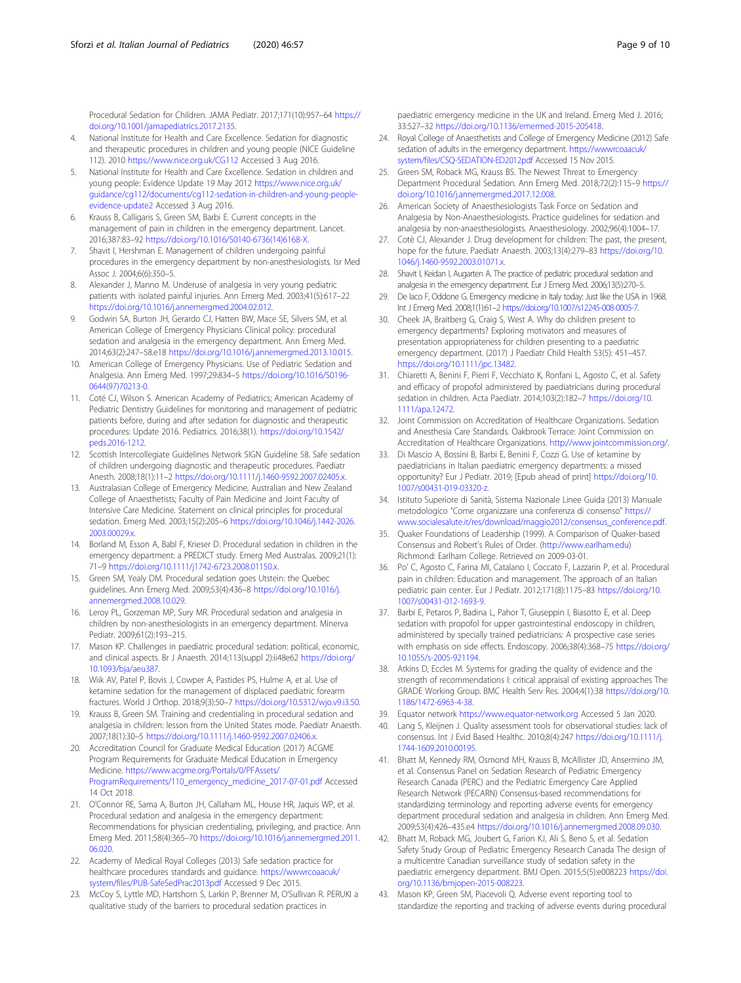<span id="page-8-0"></span>Procedural Sedation for Children. JAMA Pediatr. 2017;171(10):957–64 [https://](https://doi.org/10.1001/jamapediatrics.2017.2135) [doi.org/10.1001/jamapediatrics.2017.2135.](https://doi.org/10.1001/jamapediatrics.2017.2135)

- 4. National Institute for Health and Care Excellence. Sedation for diagnostic and therapeutic procedures in children and young people (NICE Guideline 112). 2010 <https://www.nice.org.uk/CG112> Accessed 3 Aug 2016.
- 5. National Institute for Health and Care Excellence. Sedation in children and young people: Evidence Update 19 May 2012 [https://www.nice.org.uk/](https://www.nice.org.uk/guidance/cg112/documents/cg112-sedation-in-children-and-young-people-evidence-update2) [guidance/cg112/documents/cg112-sedation-in-children-and-young-people](https://www.nice.org.uk/guidance/cg112/documents/cg112-sedation-in-children-and-young-people-evidence-update2)[evidence-update2](https://www.nice.org.uk/guidance/cg112/documents/cg112-sedation-in-children-and-young-people-evidence-update2) Accessed 3 Aug 2016.
- 6. Krauss B, Calligaris S, Green SM, Barbi E. Current concepts in the management of pain in children in the emergency department. Lancet. 2016;387:83–92 [https://doi.org/10.1016/S0140-6736\(14\)6168-X](https://doi.org/10.1016/S0140-6736(14)6168-X).
- 7. Shavit I, Hershman E. Management of children undergoing painful procedures in the emergency department by non-anesthesiologists. Isr Med Assoc J. 2004;6(6):350–5.
- Alexander J, Manno M. Underuse of analgesia in very young pediatric patients with isolated painful injuries. Ann Emerg Med. 2003;41(5):617–22 <https://doi.org/10.1016/j.annemergmed.2004.02.012>.
- 9. Godwin SA, Burton JH, Gerardo CJ, Hatten BW, Mace SE, Silvers SM, et al. American College of Emergency Physicians Clinical policy: procedural sedation and analgesia in the emergency department. Ann Emerg Med. 2014;63(2):247–58.e18 <https://doi.org/10.1016/j.annemergmed.2013.10.015>.
- 10. American College of Emergency Physicians. Use of Pediatric Sedation and Analgesia. Ann Emerg Med. 1997;29:834–5 [https://doi.org/10.1016/S0196-](https://doi.org/10.1016/S0196-0644(97)70213-0) [0644\(97\)70213-0](https://doi.org/10.1016/S0196-0644(97)70213-0).
- 11. Coté CJ, Wilson S. American Academy of Pediatrics; American Academy of Pediatric Dentistry Guidelines for monitoring and management of pediatric patients before, during and after sedation for diagnostic and therapeutic procedures: Update 2016. Pediatrics. 2016;38(1). [https://doi.org/10.1542/](https://doi.org/10.1542/peds.2016-1212) [peds.2016-1212.](https://doi.org/10.1542/peds.2016-1212)
- 12. Scottish Intercollegiate Guidelines Network SIGN Guideline 58. Safe sedation of children undergoing diagnostic and therapeutic procedures. Paediatr Anesth. 2008;18(1):11–2 <https://doi.org/10.1111/j.1460-9592.2007.02405.x>.
- 13. Australasian College of Emergency Medicine, Australian and New Zealand College of Anaesthetists; Faculty of Pain Medicine and Joint Faculty of Intensive Care Medicine. Statement on clinical principles for procedural sedation. Emerg Med. 2003;15(2):205–6 [https://doi.org/10.1046/j.1442-2026.](https://doi.org/10.1046/j.1442-2026.2003.00029.x) [2003.00029.x.](https://doi.org/10.1046/j.1442-2026.2003.00029.x)
- 14. Borland M, Esson A, Babl F, Krieser D. Procedural sedation in children in the emergency department: a PREDICT study. Emerg Med Australas. 2009;21(1): 71–9 <https://doi.org/10.1111/j1742-6723.2008.01150.x>.
- 15. Green SM, Yealy DM. Procedural sedation goes Utstein: the Quebec guidelines. Ann Emerg Med. 2009;53(4):436–8 [https://doi.org/10.1016/j.](https://doi.org/10.1016/j.annemergmed.2008.10.029) [annemergmed.2008.10.029](https://doi.org/10.1016/j.annemergmed.2008.10.029).
- 16. Leroy PL, Gorzeman MP, Sury MR. Procedural sedation and analgesia in children by non-anesthesiologists in an emergency department. Minerva Pediatr. 2009;61(2):193–215.
- 17. Mason KP. Challenges in paediatric procedural sedation: political, economic, and clinical aspects. Br J Anaesth. 2014;113(suppl 2):ii48e62 [https://doi.org/](https://doi.org/10.1093/bja/aeu387) [10.1093/bja/aeu387](https://doi.org/10.1093/bja/aeu387).
- 18. Wiik AV, Patel P, Bovis J, Cowper A, Pastides PS, Hulme A, et al. Use of ketamine sedation for the management of displaced paediatric forearm fractures. World J Orthop. 2018;9(3):50–7 [https://doi.org/10.5312/wjo.v9.i3.50.](https://doi.org/10.5312/wjo.v9.i3.50)
- 19. Krauss B, Green SM. Training and credentialing in procedural sedation and analgesia in children: lesson from the United States mode. Paediatr Anaesth. 2007;18(1):30–5 <https://doi.org/10.1111/j.1460-9592.2007.02406.x>.
- 20. Accreditation Council for Graduate Medical Education (2017) ACGME Program Requirements for Graduate Medical Education in Emergency Medicine. [https://www.acgme.org/Portals/0/PFAssets/](https://www.acgme.org/Portals/0/PFAssets/ProgramRequirements/110_emergency_medicine_2017-07-01.pdf) [ProgramRequirements/110\\_emergency\\_medicine\\_2017-07-01.pdf](https://www.acgme.org/Portals/0/PFAssets/ProgramRequirements/110_emergency_medicine_2017-07-01.pdf) Accessed 14 Oct 2018.
- 21. O'Connor RE, Sama A, Burton JH, Callaham ML, House HR, Jaquis WP, et al. Procedural sedation and analgesia in the emergency department: Recommendations for physician credentialing, privileging, and practice. Ann Emerg Med. 2011;58(4):365–70 [https://doi.org/10.1016/j.annemergmed.2011.](https://doi.org/10.1016/j.annemergmed.2011.06.020) [06.020.](https://doi.org/10.1016/j.annemergmed.2011.06.020)
- 22. Academy of Medical Royal Colleges (2013) Safe sedation practice for healthcare procedures standards and guidance. [https://wwwrcoaacuk/](https://www.rcoa.ac.uk/system/files/PUB-SafeSedPrac2013.pdf) [system/files/PUB-SafeSedPrac2013pdf](https://www.rcoa.ac.uk/system/files/PUB-SafeSedPrac2013.pdf) Accessed 9 Dec 2015.
- 23. McCoy S, Lyttle MD, Hartshorn S, Larkin P, Brenner M, O'Sullivan R. PERUKI a qualitative study of the barriers to procedural sedation practices in

paediatric emergency medicine in the UK and Ireland. Emerg Med J. 2016; 33:527–32 [https://doi.org/10.1136/emermed-2015-205418.](https://doi.org/10.1136/emermed-2015-205418)

- 24. Royal College of Anaesthetists and College of Emergency Medicine (2012) Safe sedation of adults in the emergency department. [https://wwwrcoaacuk/](https://www.rcoa.ac.uk/system/files/CSQ-SEDATION-ED2012.pdf) [system/files/CSQ-SEDATION-ED2012pdf](https://www.rcoa.ac.uk/system/files/CSQ-SEDATION-ED2012.pdf) Accessed 15 Nov 2015.
- 25. Green SM, Roback MG, Krauss BS. The Newest Threat to Emergency Department Procedural Sedation. Ann Emerg Med. 2018;72(2):115–9 [https://](https://doi.org/10.1016/j.annemergmed.2017.12.008) [doi.org/10.1016/j.annemergmed.2017.12.008.](https://doi.org/10.1016/j.annemergmed.2017.12.008)
- 26. American Society of Anaesthesiologists Task Force on Sedation and Analgesia by Non-Anaesthesiologists. Practice guidelines for sedation and analgesia by non-anaesthesiologists. Anaesthesiology. 2002;96(4):1004–17.
- 27. Cotè CJ, Alexander J. Drug development for children: The past, the present, hope for the future. Paediatr Anaesth. 2003;13(4):279–83 [https://doi.org/10.](https://doi.org/10.1046/j.1460-9592.2003.01071.x) [1046/j.1460-9592.2003.01071.x](https://doi.org/10.1046/j.1460-9592.2003.01071.x).
- 28. Shavit I, Keidan I, Augarten A. The practice of pediatric procedural sedation and analgesia in the emergency department. Eur J Emerg Med. 2006;13(5):270–5.
- 29. De Iaco F, Oddone G. Emergency medicine in Italy today: Just like the USA in 1968. Int J Emerg Med. 2008;1(1):61–2 [https://doi.org/10.1007/s12245-008-0005-7.](https://doi.org/10.1007/s12245-008-0005-7)
- 30. Cheek JA, Braitberg G, Craig S, West A. Why do children present to emergency departments? Exploring motivators and measures of presentation appropriateness for children presenting to a paediatric emergency department. (2017) J Paediatr Child Health 53(5): 451–457. [https://doi.org/10.1111/jpc.13482.](https://doi.org/10.1111/jpc.13482)
- 31. Chiaretti A, Benini F, Pierri F, Vecchiato K, Ronfani L, Agosto C, et al. Safety and efficacy of propofol administered by paediatricians during procedural sedation in children. Acta Paediatr. 2014;103(2):182–7 [https://doi.org/10.](https://doi.org/10.1111/apa.12472) [1111/apa.12472](https://doi.org/10.1111/apa.12472).
- 32. Joint Commission on Accreditation of Healthcare Organizations. Sedation and Anesthesia Care Standards. Oakbrook Terrace: Joint Commission on Accreditation of Healthcare Organizations. [http://www.jointcommission.org/.](http://www.jointcommission.org/)
- 33. Di Mascio A, Bossini B, Barbi E, Benini F, Cozzi G. Use of ketamine by paediatricians in Italian paediatric emergency departments: a missed opportunity? Eur J Pediatr. 2019; [Epub ahead of print] [https://doi.org/10.](https://doi.org/10.1007/s00431-019-03320-z) [1007/s00431-019-03320-z.](https://doi.org/10.1007/s00431-019-03320-z)
- 34. Istituto Superiore di Sanità, Sistema Nazionale Linee Guida (2013) Manuale metodologico "Come organizzare una conferenza di consenso" [https://](https://www.socialesalute.it/res/download/maggio2012/consensus_conference.pdf) [www.socialesalute.it/res/download/maggio2012/consensus\\_conference.pdf.](https://www.socialesalute.it/res/download/maggio2012/consensus_conference.pdf)
- 35. Quaker Foundations of Leadership (1999). A Comparison of Quaker-based Consensus and Robert's Rules of Order. ([http://www.earlham.edu\)](http://www.earlham.edu) Richmond: Earlham College. Retrieved on 2009-03-01.
- 36. Po' C, Agosto C, Farina MI, Catalano I, Coccato F, Lazzarin P, et al. Procedural pain in children: Education and management. The approach of an Italian pediatric pain center. Eur J Pediatr. 2012;171(8):1175–83 [https://doi.org/10.](https://doi.org/10.1007/s00431-012-1693-9) [1007/s00431-012-1693-9](https://doi.org/10.1007/s00431-012-1693-9).
- 37. Barbi E, Petaros P, Badina L, Pahor T, Giuseppin I, Biasotto E, et al. Deep sedation with propofol for upper gastrointestinal endoscopy in children, administered by specially trained pediatricians: A prospective case series with emphasis on side effects. Endoscopy. 2006;38(4):368–75 [https://doi.org/](https://doi.org/10.1055/s-2005-921194) [10.1055/s-2005-921194.](https://doi.org/10.1055/s-2005-921194)
- 38. Atkins D, Eccles M. Systems for grading the quality of evidence and the strength of recommendations I: critical appraisal of existing approaches The GRADE Working Group. BMC Health Serv Res. 2004;4(1):38 [https://doi.org/10.](https://doi.org/10.1186/1472-6963-4-38) [1186/1472-6963-4-38.](https://doi.org/10.1186/1472-6963-4-38)
- 39. Equator network <https://www.equator-network.org> Accessed 5 Jan 2020.
- 40. Lang S, Kleijnen J. Quality assessment tools for observational studies: lack of consensus. Int J Evid Based Healthc. 2010;8(4):247 [https://doi.org/10.1111/j.](https://doi.org/10.1111/j.1744-1609.2010.00195) [1744-1609.2010.00195](https://doi.org/10.1111/j.1744-1609.2010.00195).
- 41. Bhatt M, Kennedy RM, Osmond MH, Krauss B, McAllister JD, Ansermino JM, et al. Consensus Panel on Sedation Research of Pediatric Emergency Research Canada (PERC) and the Pediatric Emergency Care Applied Research Network (PECARN) Consensus-based recommendations for standardizing terminology and reporting adverse events for emergency department procedural sedation and analgesia in children. Ann Emerg Med. 2009;53(4):426–435.e4 <https://doi.org/10.1016/j.annemergmed.2008.09.030>.
- 42. Bhatt M, Roback MG, Joubert G, Farion KJ, Ali S, Beno S, et al. Sedation Safety Study Group of Pediatric Emergency Research Canada The design of a multicentre Canadian surveillance study of sedation safety in the paediatric emergency department. BMJ Open. 2015;5(5):e008223 [https://doi.](https://doi.org/10.1136/bmjopen-2015-008223) [org/10.1136/bmjopen-2015-008223](https://doi.org/10.1136/bmjopen-2015-008223).
- 43. Mason KP, Green SM, Piacevoli Q. Adverse event reporting tool to standardize the reporting and tracking of adverse events during procedural